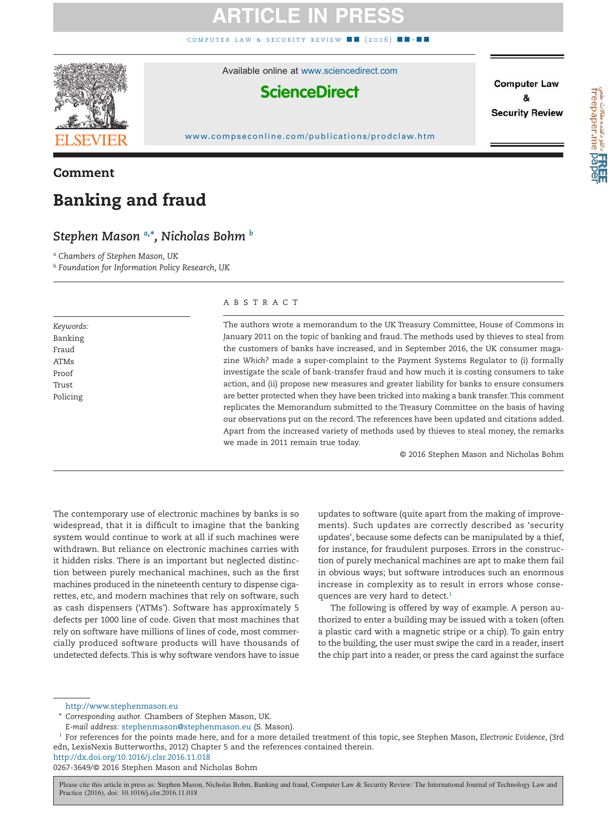# **ATICLE**

COMPUTER LAW & SECURITY REVIEW



Available online at [www.sciencedirect.com](http://www.sciencedirect.com/science/journal/02673649)

## **ScienceDirect**

[www.compseconline.com/publications/prodclaw.htm](http://www.compseconline.com/publications/prodclaw.htm)

### **Comment**

## **Banking and fraud**

### *Stephen Mason [a,](#page-0-0) [\\*,](#page-0-1) Nicholas Bohm [b](#page-0-2)*

<span id="page-0-0"></span><sup>a</sup> *Chambers of Stephen Mason, UK*

<span id="page-0-2"></span><sup>b</sup> *Foundation for Information Policy Research, UK*

*Keywords:* Banking Fraud ATMs Proof Trust Policing

#### ABSTRACT

The authors wrote a memorandum to the UK Treasury Committee, House of Commons in January 2011 on the topic of banking and fraud. The methods used by thieves to steal from the customers of banks have increased, and in September 2016, the UK consumer magazine *Which?* made a super-complaint to the Payment Systems Regulator to (i) formally investigate the scale of bank-transfer fraud and how much it is costing consumers to take action, and (ii) propose new measures and greater liability for banks to ensure consumers are better protected when they have been tricked into making a bank transfer. This comment replicates the Memorandum submitted to the Treasury Committee on the basis of having our observations put on the record. The references have been updated and citations added. Apart from the increased variety of methods used by thieves to steal money, the remarks we made in 2011 remain true today.

© 2016 Stephen Mason and Nicholas Bohm

The contemporary use of electronic machines by banks is so widespread, that it is difficult to imagine that the banking system would continue to work at all if such machines were withdrawn. But reliance on electronic machines carries with it hidden risks. There is an important but neglected distinction between purely mechanical machines, such as the first machines produced in the nineteenth century to dispense cigarettes, etc, and modern machines that rely on software, such as cash dispensers ('ATMs'). Software has approximately 5 defects per 1000 line of code. Given that most machines that rely on software have millions of lines of code, most commercially produced software products will have thousands of undetected defects. This is why software vendors have to issue

updates to software (quite apart from the making of improvements). Such updates are correctly described as 'security updates', because some defects can be manipulated by a thief, for instance, for fraudulent purposes. Errors in the construction of purely mechanical machines are apt to make them fail in obvious ways; but software introduces such an enormous increase in complexity as to result in errors whose consequences are very hard to detect.<sup>1</sup>

The following is offered by way of example. A person authorized to enter a building may be issued with a token (often a plastic card with a magnetic stripe or a chip). To gain entry to the building, the user must swipe the card in a reader, insert the chip part into a reader, or press the card against the surface

<http://www.stephenmason.eu>

<span id="page-0-1"></span>\* *Corresponding author.* Chambers of Stephen Mason, UK.

*E-mail address:* [stephenmason@stephenmason.eu](mailto:stephenmason@stephenmason.eu) (S. Mason).

<span id="page-0-3"></span><sup>1</sup> For references for the points made here, and for a more detailed treatment of this topic, see Stephen Mason, *Electronic Evidence*, (3rd edn, LexisNexis Butterworths, 2012) Chapter 5 and the references contained therein.

http://dx.doi.org/10.1016/j.clsr.2016.11.018

0267-3649/© 2016 Stephen Mason and Nicholas Bohm

**Computer Law** 

**Security Review**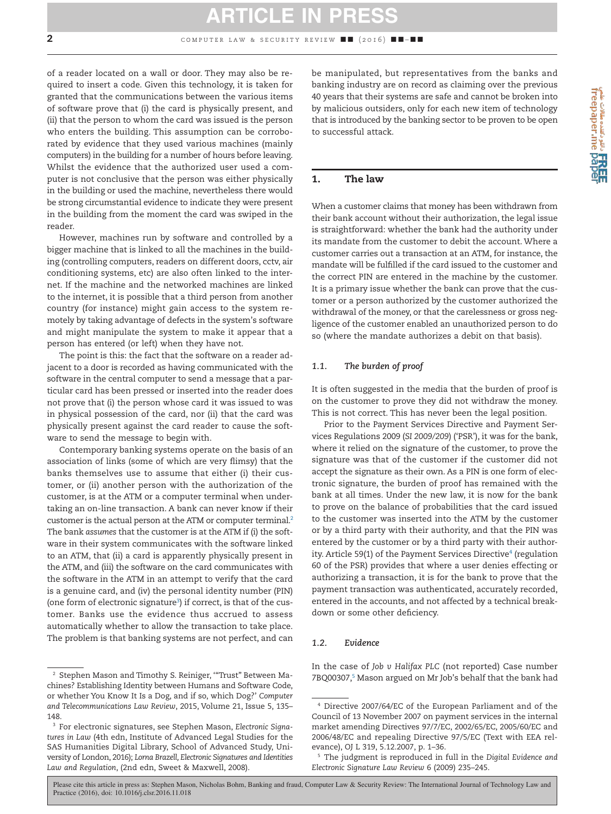of a reader located on a wall or door. They may also be required to insert a code. Given this technology, it is taken for granted that the communications between the various items of software prove that (i) the card is physically present, and (ii) that the person to whom the card was issued is the person who enters the building. This assumption can be corroborated by evidence that they used various machines (mainly computers) in the building for a number of hours before leaving. Whilst the evidence that the authorized user used a computer is not conclusive that the person was either physically in the building or used the machine, nevertheless there would be strong circumstantial evidence to indicate they were present in the building from the moment the card was swiped in the reader.

However, machines run by software and controlled by a bigger machine that is linked to all the machines in the building (controlling computers, readers on different doors, cctv, air conditioning systems, etc) are also often linked to the internet. If the machine and the networked machines are linked to the internet, it is possible that a third person from another country (for instance) might gain access to the system remotely by taking advantage of defects in the system's software and might manipulate the system to make it appear that a person has entered (or left) when they have not.

The point is this: the fact that the software on a reader adjacent to a door is recorded as having communicated with the software in the central computer to send a message that a particular card has been pressed or inserted into the reader does not prove that (i) the person whose card it was issued to was in physical possession of the card, nor (ii) that the card was physically present against the card reader to cause the software to send the message to begin with.

Contemporary banking systems operate on the basis of an association of links (some of which are very flimsy) that the banks themselves use to assume that either (i) their customer, or (ii) another person with the authorization of the customer, is at the ATM or a computer terminal when undertaking an on-line transaction. A bank can never know if their customer is the actual person at the ATM or computer terminal.<sup>2</sup> The bank *assumes* that the customer is at the ATM if (i) the software in their system communicates with the software linked to an ATM, that (ii) a card is apparently physically present in the ATM, and (iii) the software on the card communicates with the software in the ATM in an attempt to verify that the card is a genuine card, and (iv) the personal identity number (PIN) (one form of electronic signature $\mathrm{^3})$  if correct, is that of the customer. Banks use the evidence thus accrued to assess automatically whether to allow the transaction to take place. The problem is that banking systems are not perfect, and can be manipulated, but representatives from the banks and banking industry are on record as claiming over the previous 40 years that their systems are safe and cannot be broken into by malicious outsiders, only for each new item of technology that is introduced by the banking sector to be proven to be open to successful attack.

### **1. The law**

When a customer claims that money has been withdrawn from their bank account without their authorization, the legal issue is straightforward: whether the bank had the authority under its mandate from the customer to debit the account. Where a customer carries out a transaction at an ATM, for instance, the mandate will be fulfilled if the card issued to the customer and the correct PIN are entered in the machine by the customer. It is a primary issue whether the bank can prove that the customer or a person authorized by the customer authorized the withdrawal of the money, or that the carelessness or gross negligence of the customer enabled an unauthorized person to do so (where the mandate authorizes a debit on that basis).

#### *1.1. The burden of proof*

It is often suggested in the media that the burden of proof is on the customer to prove they did not withdraw the money. This is not correct. This has never been the legal position.

Prior to the Payment Services Directive and Payment Services Regulations 2009 (*SI 2009/209*) ('PSR'), it was for the bank, where it relied on the signature of the customer, to prove the signature was that of the customer if the customer did not accept the signature as their own. As a PIN is one form of electronic signature, the burden of proof has remained with the bank at all times. Under the new law, it is now for the bank to prove on the balance of probabilities that the card issued to the customer was inserted into the ATM by the customer or by a third party with their authority, and that the PIN was entered by the customer or by a third party with their authority. Article 59(1) of the Payment Services Directive<sup>4</sup> (regulation 60 of the PSR) provides that where a user denies effecting or authorizing a transaction, it is for the bank to prove that the payment transaction was authenticated, accurately recorded, entered in the accounts, and not affected by a technical breakdown or some other deficiency.

### *1.2. Evidence*

In the case of *Job v Halifax PLC* (not reported) Case number <sup>2</sup> Stephen Mason and Timothy S. Reiniger, "Trust" Between Ma-<br>2 Stephen Mason and Timothy S. Reiniger, "Trust" Between Ma-<br>2 BQ00307,<sup>5</sup> Mason argued on Mr Job's behalf that the bank had

<span id="page-1-0"></span>chines? Establishing Identity between Humans and Software Code, or whether You Know It Is a Dog, and if so, which Dog?' *Computer and Telecommunications Law Review*, 2015, Volume 21, Issue 5, 135– 148.

<span id="page-1-1"></span><sup>3</sup> For electronic signatures, see Stephen Mason, *Electronic Signatures in Law* (4th edn, Institute of Advanced Legal Studies for the SAS Humanities Digital Library, School of Advanced Study, University of London, 2016); *Lorna Brazell, Electronic Signatures and Identities Law and Regulation*, (2nd edn, Sweet & Maxwell, 2008).

<span id="page-1-2"></span><sup>4</sup> Directive 2007/64/EC of the European Parliament and of the Council of 13 November 2007 on payment services in the internal market amending Directives 97/7/EC, 2002/65/EC, 2005/60/EC and 2006/48/EC and repealing Directive 97/5/EC (Text with EEA relevance), OJ L 319, 5.12.2007, p. 1–36.

<span id="page-1-3"></span><sup>5</sup> The judgment is reproduced in full in the *Digital Evidence and Electronic Signature Law Review* 6 (2009) 235–245.

Please cite this article in press as: Stephen Mason, Nicholas Bohm, Banking and fraud, Computer Law & Security Review: The International Journal of Technology Law and Practice (2016), doi: 10.1016/j.clsr.2016.11.018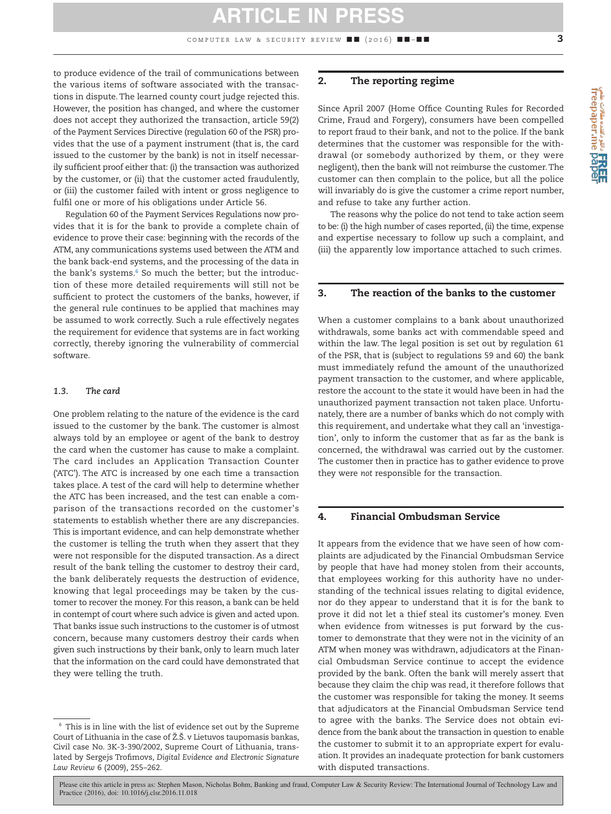# **ARTICLE IN PRE**

 $COMPUTER$  LAW & SECURITY REVIEW  $\blacksquare$   $(2016)$   $\blacksquare$   $\blacksquare$   $\blacksquare$ 

to produce evidence of the trail of communications between the various items of software associated with the transactions in dispute. The learned county court judge rejected this. However, the position has changed, and where the customer does not accept they authorized the transaction, article 59(2) of the Payment Services Directive (regulation 60 of the PSR) provides that the use of a payment instrument (that is, the card issued to the customer by the bank) is not in itself necessarily sufficient proof either that: (i) the transaction was authorized by the customer, or (ii) that the customer acted fraudulently, or (iii) the customer failed with intent or gross negligence to fulfil one or more of his obligations under Article 56.

Regulation 60 of the Payment Services Regulations now provides that it is for the bank to provide a complete chain of evidence to prove their case: beginning with the records of the ATM, any communications systems used between the ATM and the bank back-end systems, and the processing of the data in the bank's systems.<sup>6</sup> So much the better; but the introduction of these more detailed requirements will still not be sufficient to protect the customers of the banks, however, if the general rule continues to be applied that machines may be assumed to work correctly. Such a rule effectively negates the requirement for evidence that systems are in fact working correctly, thereby ignoring the vulnerability of commercial software.

### *1.3. The card*

One problem relating to the nature of the evidence is the card issued to the customer by the bank. The customer is almost always told by an employee or agent of the bank to destroy the card when the customer has cause to make a complaint. The card includes an Application Transaction Counter ('ATC'). The ATC is increased by one each time a transaction takes place. A test of the card will help to determine whether the ATC has been increased, and the test can enable a comparison of the transactions recorded on the customer's statements to establish whether there are any discrepancies. This is important evidence, and can help demonstrate whether the customer is telling the truth when they assert that they were not responsible for the disputed transaction. As a direct result of the bank telling the customer to destroy their card, the bank deliberately requests the destruction of evidence, knowing that legal proceedings may be taken by the customer to recover the money. For this reason, a bank can be held in contempt of court where such advice is given and acted upon. That banks issue such instructions to the customer is of utmost concern, because many customers destroy their cards when given such instructions by their bank, only to learn much later that the information on the card could have demonstrated that they were telling the truth.

### **2. The reporting regime**

Since April 2007 (Home Office Counting Rules for Recorded Crime, Fraud and Forgery), consumers have been compelled to report fraud to their bank, and not to the police. If the bank determines that the customer was responsible for the withdrawal (or somebody authorized by them, or they were negligent), then the bank will not reimburse the customer. The customer can then complain to the police, but all the police will invariably do is give the customer a crime report number, and refuse to take any further action.

The reasons why the police do not tend to take action seem to be: (i) the high number of cases reported, (ii) the time, expense and expertise necessary to follow up such a complaint, and (iii) the apparently low importance attached to such crimes.

### **3. The reaction of the banks to the customer**

When a customer complains to a bank about unauthorized withdrawals, some banks act with commendable speed and within the law. The legal position is set out by regulation 61 of the PSR, that is (subject to regulations 59 and 60) the bank must immediately refund the amount of the unauthorized payment transaction to the customer, and where applicable, restore the account to the state it would have been in had the unauthorized payment transaction not taken place. Unfortunately, there are a number of banks which do not comply with this requirement, and undertake what they call an 'investigation', only to inform the customer that as far as the bank is concerned, the withdrawal was carried out by the customer. The customer then in practice has to gather evidence to prove they were *not* responsible for the transaction.

### **4. Financial Ombudsman Service**

It appears from the evidence that we have seen of how complaints are adjudicated by the Financial Ombudsman Service by people that have had money stolen from their accounts, that employees working for this authority have no understanding of the technical issues relating to digital evidence, nor do they appear to understand that it is for the bank to prove it did not let a thief steal its customer's money. Even when evidence from witnesses is put forward by the customer to demonstrate that they were not in the vicinity of an ATM when money was withdrawn, adjudicators at the Financial Ombudsman Service continue to accept the evidence provided by the bank. Often the bank will merely assert that because they claim the chip was read, it therefore follows that the customer was responsible for taking the money. It seems that adjudicators at the Financial Ombudsman Service tend to agree with the banks. The Service does not obtain evidence from the bank about the transaction in question to enable the customer to submit it to an appropriate expert for evaluation. It provides an inadequate protection for bank customers with disputed transactions.

<span id="page-2-0"></span><sup>6</sup> This is in line with the list of evidence set out by the Supreme Court of Lithuania in the case of Ž.Š. v Lietuvos taupomasis bankas, Civil case No. 3K-3-390/2002, Supreme Court of Lithuania, translated by Sergejs Trofimovs, *Digital Evidence and Electronic Signature Law Review* 6 (2009), 255–262.

Please cite this article in press as: Stephen Mason, Nicholas Bohm, Banking and fraud, Computer Law & Security Review: The International Journal of Technology Law and Practice (2016), doi: 10.1016/j.clsr.2016.11.018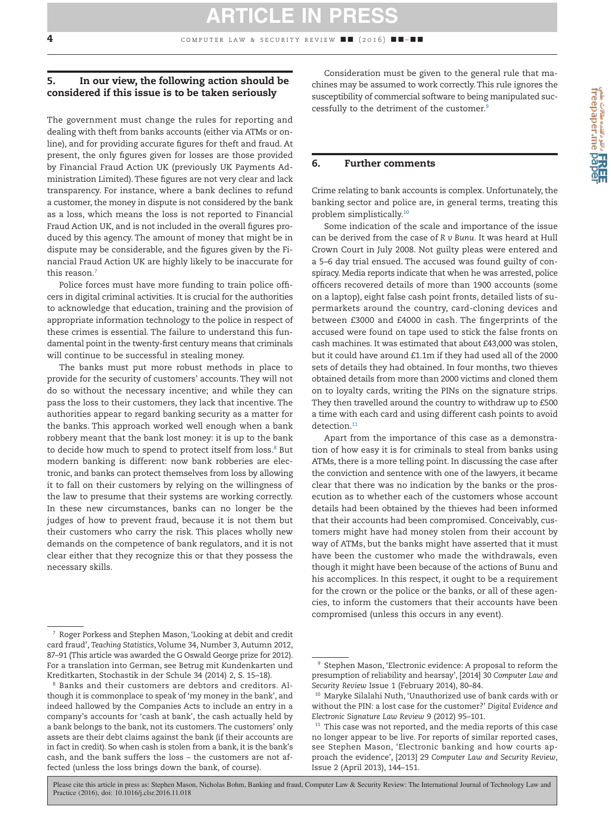### **5. In our view, the following action should be considered if this issue is to be taken seriously**

The government must change the rules for reporting and dealing with theft from banks accounts (either via ATMs or online), and for providing accurate figures for theft and fraud. At present, the only figures given for losses are those provided by Financial Fraud Action UK (previously UK Payments Administration Limited). These figures are not very clear and lack transparency. For instance, where a bank declines to refund a customer, the money in dispute is not considered by the bank as a loss, which means the loss is not reported to Financial Fraud Action UK, and is not included in the overall figures produced by this agency. The amount of money that might be in dispute may be considerable, and the figures given by the Financial Fraud Action UK are highly likely to be inaccurate for this reason.<sup>7</sup>

Police forces must have more funding to train police officers in digital criminal activities. It is crucial for the authorities to acknowledge that education, training and the provision of appropriate information technology to the police in respect of these crimes is essential. The failure to understand this fundamental point in the twenty-first century means that criminals will continue to be successful in stealing money.

The banks must put more robust methods in place to provide for the security of customers' accounts. They will not do so without the necessary incentive; and while they can pass the loss to their customers, they lack that incentive. The authorities appear to regard banking security as a matter for the banks. This approach worked well enough when a bank robbery meant that the bank lost money: it is up to the bank to decide how much to spend to protect itself from loss.<sup>8</sup> But modern banking is different: now bank robberies are electronic, and banks can protect themselves from loss by allowing it to fall on their customers by relying on the willingness of the law to presume that their systems are working correctly. In these new circumstances, banks can no longer be the judges of how to prevent fraud, because it is not them but their customers who carry the risk. This places wholly new demands on the competence of bank regulators, and it is not clear either that they recognize this or that they possess the necessary skills.

Consideration must be given to the general rule that machines may be assumed to work correctly. This rule ignores the susceptibility of commercial software to being manipulated successfully to the detriment of the customer[.9](#page-3-2)

#### **6. Further comments**

Crime relating to bank accounts is complex. Unfortunately, the banking sector and police are, in general terms, treating this problem simplistically.<sup>10</sup>

Some indication of the scale and importance of the issue can be derived from the case of *R v Bunu.* It was heard at Hull Crown Court in July 2008. Not guilty pleas were entered and a 5–6 day trial ensued. The accused was found guilty of conspiracy. Media reports indicate that when he was arrested, police officers recovered details of more than 1900 accounts (some on a laptop), eight false cash point fronts, detailed lists of supermarkets around the country, card-cloning devices and between £3000 and £4000 in cash. The fingerprints of the accused were found on tape used to stick the false fronts on cash machines. It was estimated that about £43,000 was stolen, but it could have around £1.1m if they had used all of the 2000 sets of details they had obtained. In four months, two thieves obtained details from more than 2000 victims and cloned them on to loyalty cards, writing the PINs on the signature strips. They then travelled around the country to withdraw up to £500 a time with each card and using different cash points to avoid detection.<sup>11</sup>

Apart from the importance of this case as a demonstration of how easy it is for criminals to steal from banks using ATMs, there is a more telling point. In discussing the case after the conviction and sentence with one of the lawyers, it became clear that there was no indication by the banks or the prosecution as to whether each of the customers whose account details had been obtained by the thieves had been informed that their accounts had been compromised. Conceivably, customers might have had money stolen from their account by way of ATMs, but the banks might have asserted that it must have been the customer who made the withdrawals, even though it might have been because of the actions of Bunu and his accomplices. In this respect, it ought to be a requirement for the crown or the police or the banks, or all of these agencies, to inform the customers that their accounts have been compromised (unless this occurs in any event).

<span id="page-3-0"></span><sup>7</sup> Roger Porkess and Stephen Mason, 'Looking at debit and credit card fraud', *Teaching Statistics*, Volume 34, Number 3, Autumn 2012, 87–91 (This article was awarded the G Oswald George prize for 2012). For a translation into German, see Betrug mit Kundenkarten und Kreditkarten, Stochastik in der Schule 34 (2014) 2, S. 15–18).

<span id="page-3-1"></span><sup>8</sup> Banks and their customers are debtors and creditors. Although it is commonplace to speak of 'my money in the bank', and indeed hallowed by the Companies Acts to include an entry in a company's accounts for 'cash at bank', the cash actually held by a bank belongs to the bank, not its customers. The customers' only assets are their debt claims against the bank (if their accounts are in fact in credit). So when cash is stolen from a bank, it is the bank's cash, and the bank suffers the loss – the customers are not affected (unless the loss brings down the bank, of course).

<span id="page-3-2"></span><sup>&</sup>lt;sup>9</sup> Stephen Mason, 'Electronic evidence: A proposal to reform the presumption of reliability and hearsay', [2014] 30 *Computer Law and Security Review* Issue 1 (February 2014), 80–84.

<span id="page-3-3"></span> $^{\rm 10}$  Maryke Silalahi Nuth, 'Unauthorized use of bank cards with or without the PIN: a lost case for the customer?' *Digital Evidence and Electronic Signature Law Review* 9 (2012) 95–101.

<span id="page-3-4"></span><sup>&</sup>lt;sup>11</sup> This case was not reported, and the media reports of this case no longer appear to be live. For reports of similar reported cases, see Stephen Mason, 'Electronic banking and how courts approach the evidence', [2013] 29 *Computer Law and Security Review*, Issue 2 (April 2013), 144–151.

Please cite this article in press as: Stephen Mason, Nicholas Bohm, Banking and fraud, Computer Law & Security Review: The International Journal of Technology Law and Practice (2016), doi: 10.1016/j.clsr.2016.11.018